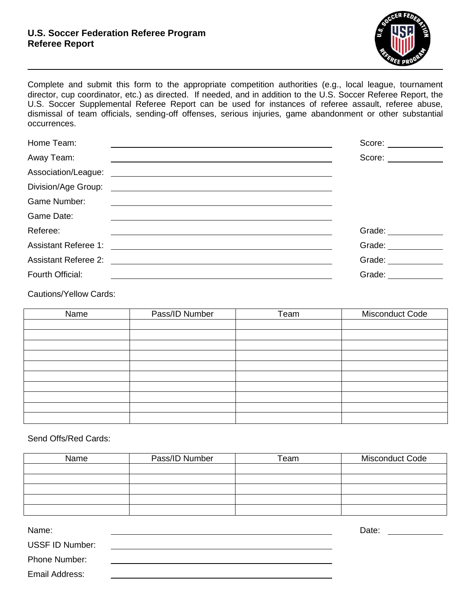## **U.S. Soccer Federation Referee Program Referee Report**



Complete and submit this form to the appropriate competition authorities (e.g., local league, tournament director, cup coordinator, etc.) as directed. If needed, and in addition to the U.S. Soccer Referee Report, the U.S. Soccer Supplemental Referee Report can be used for instances of referee assault, referee abuse, dismissal of team officials, sending-off offenses, serious injuries, game abandonment or other substantial occurrences.

| Home Team:                                                                                                                                                                                                                     | Score: ____________                                                                                                                                                                                                            |
|--------------------------------------------------------------------------------------------------------------------------------------------------------------------------------------------------------------------------------|--------------------------------------------------------------------------------------------------------------------------------------------------------------------------------------------------------------------------------|
| Away Team:                                                                                                                                                                                                                     | Score: ____________                                                                                                                                                                                                            |
|                                                                                                                                                                                                                                |                                                                                                                                                                                                                                |
| Division/Age Group:<br><u> 1989 - Andrea Stadt Britain, amerikansk politik (</u>                                                                                                                                               |                                                                                                                                                                                                                                |
| Game Number:                                                                                                                                                                                                                   |                                                                                                                                                                                                                                |
| Game Date:                                                                                                                                                                                                                     |                                                                                                                                                                                                                                |
| Referee:                                                                                                                                                                                                                       | Grade: _________                                                                                                                                                                                                               |
|                                                                                                                                                                                                                                | Grade: The Controller of the Controller                                                                                                                                                                                        |
| Assistant Referee 2: \\contact \\contact \\contact \\contact \\contact \\contact \\contact \\contact \\contact \\contact \\contact \\contact \\contact \\contact \\contact \\contact \\contact \\contact \\contact \\contact \ | Grade: The Contract of the Contract of the Contract of the Contract of the Contract of the Contract of the Contract of the Contract of the Contract of the Contract of the Contract of the Contract of the Contract of the Con |
| Fourth Official:                                                                                                                                                                                                               | Grade: The Contract of the Contract of the Contract of the Contract of the Contract of the Contract of the Contract of the Contract of the Contract of the Contract of the Contract of the Contract of the Contract of the Con |

Cautions/Yellow Cards:

| Name | Pass/ID Number | Team | Misconduct Code |
|------|----------------|------|-----------------|
|      |                |      |                 |
|      |                |      |                 |
|      |                |      |                 |
|      |                |      |                 |
|      |                |      |                 |
|      |                |      |                 |
|      |                |      |                 |
|      |                |      |                 |
|      |                |      |                 |
|      |                |      |                 |

Send Offs/Red Cards:

| Name | Pass/ID Number | Team | <b>Misconduct Code</b> |
|------|----------------|------|------------------------|
|      |                |      |                        |
|      |                |      |                        |
|      |                |      |                        |
|      |                |      |                        |
|      |                |      |                        |

| Name:                  | Date: |  |
|------------------------|-------|--|
| <b>USSF ID Number:</b> |       |  |
| Phone Number:          |       |  |
| Email Address:         |       |  |